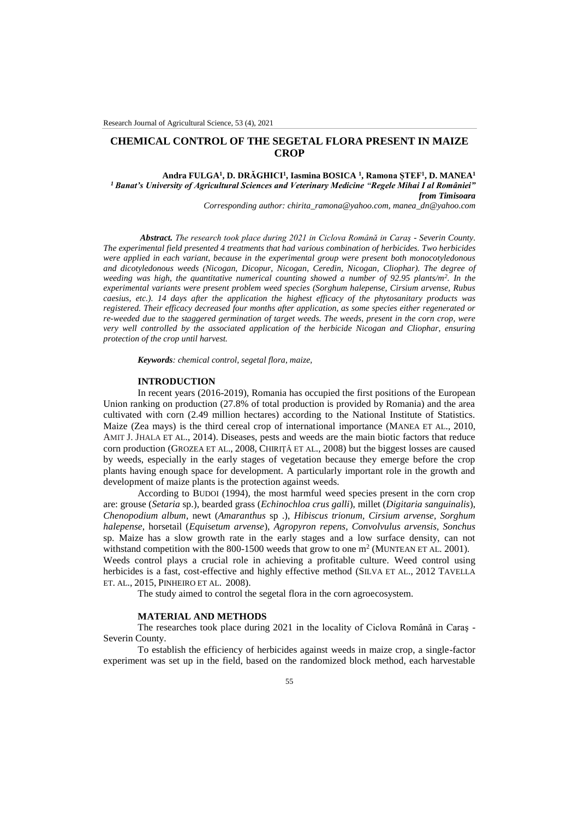# **CHEMICAL CONTROL OF THE SEGETAL FLORA PRESENT IN MAIZE CROP**

# **Andra FULGA<sup>1</sup> , D. DRĂGHICI<sup>1</sup> , Iasmina BOSICA <sup>1</sup> , Ramona ȘTEF<sup>1</sup> , D. MANEA<sup>1</sup>** *<sup>1</sup> Banat's University of Agricultural Sciences and Veterinary Medicine "Regele Mihai I al României" from Timisoara*

*Corresponding author[: chirita\\_ramona@yahoo.com,](mailto:chirita_ramona@yahoo.com) manea\_dn@yahoo.com*

*Abstract. The research took place during 2021 in Ciclova Română in Caraş - Severin County. The experimental field presented 4 treatments that had various combination of herbicides. Two herbicides were applied in each variant, because in the experimental group were present both monocotyledonous and dicotyledonous weeds (Nicogan, Dicopur, Nicogan, Ceredin, Nicogan, Cliophar). The degree of weeding was high, the quantitative numerical counting showed a number of 92.95 plants/m<sup>2</sup> . In the experimental variants were present problem weed species (Sorghum halepense, Cirsium arvense, Rubus caesius, etc.). 14 days after the application the highest efficacy of the phytosanitary products was registered. Their efficacy decreased four months after application, as some species either regenerated or re-weeded due to the staggered germination of target weeds. The weeds, present in the corn crop, were very well controlled by the associated application of the herbicide Nicogan and Cliophar, ensuring protection of the crop until harvest.*

*Keywords: chemical control, segetal flora, maize,* 

### **INTRODUCTION**

In recent years (2016-2019), Romania has occupied the first positions of the European Union ranking on production (27.8% of total production is provided by Romania) and the area cultivated with corn (2.49 million hectares) according to the National Institute of Statistics. Maize (Zea mays) is the third cereal crop of international importance (MANEA ET AL., 2010, AMIT J. JHALA ET AL., 2014). Diseases, pests and weeds are the main biotic factors that reduce corn production (GROZEA ET AL., 2008, CHIRIȚĂ ET AL., 2008) but the biggest losses are caused by weeds, especially in the early stages of vegetation because they emerge before the crop plants having enough space for development. A particularly important role in the growth and development of maize plants is the protection against weeds.

According to BUDOI (1994), the most harmful weed species present in the corn crop are: grouse (*Setaria* sp.), bearded grass (*Echinochloa crus galli*), millet (*Digitaria sanguinalis*), *Chenopodium album*, newt (*Amaranthus* sp .), *Hibiscus trionum, Cirsium arvense, Sorghum halepense*, horsetail (*Equisetum arvense*), *Agropyron repens, Convolvulus arvensis, Sonchus* sp. Maize has a slow growth rate in the early stages and a low surface density, can not withstand competition with the 800-1500 weeds that grow to one  $m^2$  (MUNTEAN ET AL. 2001). Weeds control plays a crucial role in achieving a profitable culture. Weed control using herbicides is a fast, cost-effective and highly effective method (SILVA ET AL., 2012 TAVELLA ET. AL., 2015, PINHEIRO ET AL. 2008).

The study aimed to control the segetal flora in the corn agroecosystem.

#### **MATERIAL AND METHODS**

The researches took place during 2021 in the locality of Ciclova Română in Caraş - Severin County.

To establish the efficiency of herbicides against weeds in maize crop, a single-factor experiment was set up in the field, based on the randomized block method, each harvestable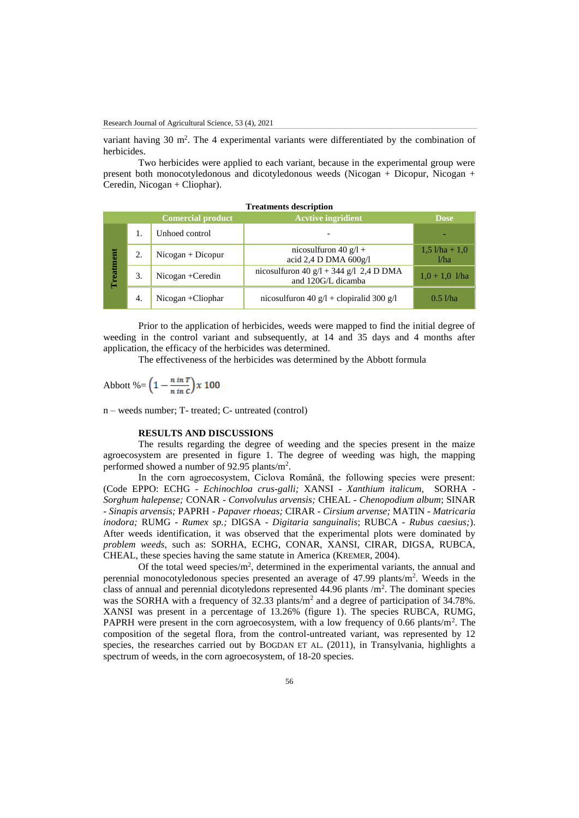variant having 30  $m^2$ . The 4 experimental variants were differentiated by the combination of herbicides.

Two herbicides were applied to each variant, because in the experimental group were present both monocotyledonous and dicotyledonous weeds (Nicogan + Dicopur, Nicogan + Ceredin, Nicogan + Cliophar).

| <b>Treatments description</b> |    |                          |                                                               |                            |
|-------------------------------|----|--------------------------|---------------------------------------------------------------|----------------------------|
|                               |    | <b>Comercial product</b> | <b>Acvtive ingridient</b>                                     | <b>Dose</b>                |
| Treatment                     | 1. | Unhoed control           |                                                               |                            |
|                               | 2. | $Nicogan + Dicopur$      | nicosulfuron 40 $g/l +$<br>acid 2,4 D DMA $600g/l$            | $1,5$ $1/ha + 1,0$<br>1/ha |
|                               | 3. | $Nicogan + Ceredin$      | nicosulfuron 40 g/l + 344 g/l 2,4 D DMA<br>and 120G/L dicamba | $1.0 + 1.0$ <i>l/ha</i>    |
|                               | 4. | $Nicogan + Cliophar$     | nicosulfuron 40 $g/l$ + clopiralid 300 $g/l$                  | $0.5$ l/ha                 |

Prior to the application of herbicides, weeds were mapped to find the initial degree of weeding in the control variant and subsequently, at 14 and 35 days and 4 months after application, the efficacy of the herbicides was determined.

The effectiveness of the herbicides was determined by the Abbott formula

Abbott %=  $\left(1 - \frac{n \text{ in } T}{n \text{ in } c}\right) x 100$ 

n – weeds number; T- treated; C- untreated (control)

## **RESULTS AND DISCUSSIONS**

The results regarding the degree of weeding and the species present in the maize agroecosystem are presented in figure 1. The degree of weeding was high, the mapping performed showed a number of 92.95 plants/ $m^2$ .

In the corn agroecosystem, Ciclova Română, the following species were present: (Code EPPO: ECHG *- Echinochloa crus-galli;* XANSI - *Xanthium italicum,* SORHA - *Sorghum halepense;* CONAR - *Convolvulus arvensis;* CHEAL - *Chenopodium album*; SINAR - *Sinapis arvensis;* PAPRH - *Papaver rhoeas;* CIRAR - *Cirsium arvense;* MATIN - *Matricaria inodora;* RUMG - *Rumex sp.;* DIGSA - *Digitaria sanguinalis*; RUBCA *- Rubus caesius;*). After weeds identification, it was observed that the experimental plots were dominated by *problem weeds*, such as: SORHA, ECHG, CONAR, XANSI, CIRAR, DIGSA, RUBCA, CHEAL, these species having the same statute in America (KREMER, 2004).

Of the total weed species/m<sup>2</sup>, determined in the experimental variants, the annual and perennial monocotyledonous species presented an average of 47.99 plants/m<sup>2</sup> . Weeds in the class of annual and perennial dicotyledons represented  $44.96$  plants /m<sup>2</sup>. The dominant species was the SORHA with a frequency of  $32.33$  plants/ $m<sup>2</sup>$  and a degree of participation of  $34.78\%$ . XANSI was present in a percentage of 13.26% (figure 1). The species RUBCA*,* RUMG*,*  PAPRH were present in the corn agroecosystem, with a low frequency of 0.66 plants/ $m<sup>2</sup>$ . The composition of the segetal flora, from the control-untreated variant, was represented by 12 species, the researches carried out by BOGDAN ET AL. (2011), in Transylvania, highlights a spectrum of weeds, in the corn agroecosystem, of 18-20 species.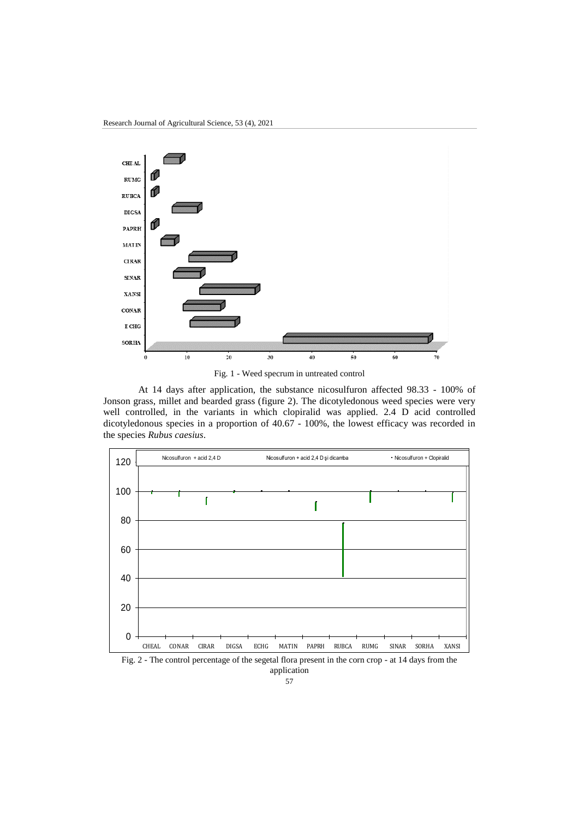

Fig. 1 - Weed specrum in untreated control

At 14 days after application, the substance nicosulfuron affected 98.33 - 100% of Jonson grass, millet and bearded grass (figure 2). The dicotyledonous weed species were very well controlled, in the variants in which clopiralid was applied. 2.4 D acid controlled dicotyledonous species in a proportion of 40.67 - 100%, the lowest efficacy was recorded in the species *Rubus caesius*.



Fig. 2 - The control percentage of the segetal flora present in the corn crop - at 14 days from the application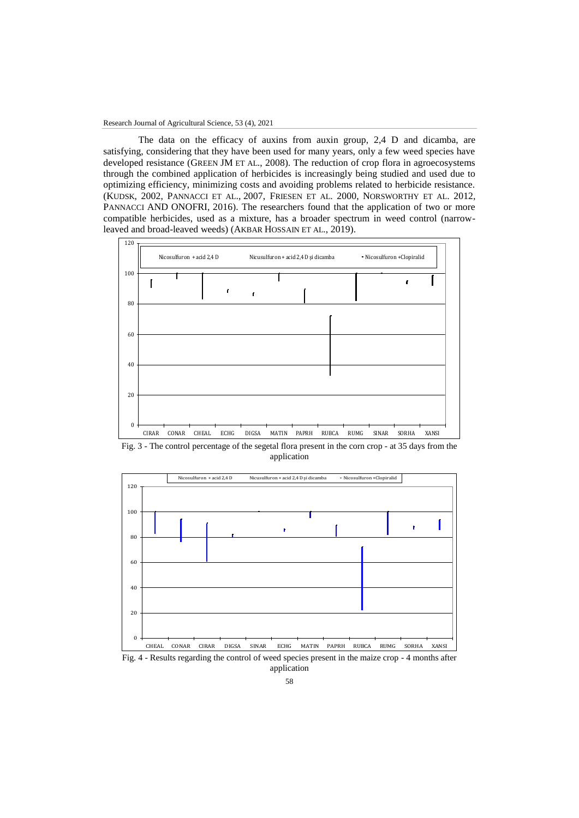The data on the efficacy of auxins from auxin group, 2,4 D and dicamba, are satisfying, considering that they have been used for many years, only a few weed species have developed resistance (GREEN JM ET AL., 2008). The reduction of crop flora in agroecosystems through the combined application of herbicides is increasingly being studied and used due to optimizing efficiency, minimizing costs and avoiding problems related to herbicide resistance. (KUDSK, 2002, PANNACCI ET AL., 2007, FRIESEN ET AL. 2000, NORSWORTHY ET AL. 2012, PANNACCI AND ONOFRI, 2016). The researchers found that the application of two or more compatible herbicides, used as a mixture, has a broader spectrum in weed control (narrowleaved and broad-leaved weeds) (AKBAR HOSSAIN ET AL., 2019).



Fig. 3 - The control percentage of the segetal flora present in the corn crop - at 35 days from the application



Fig. 4 - Results regarding the control of weed species present in the maize crop - 4 months after application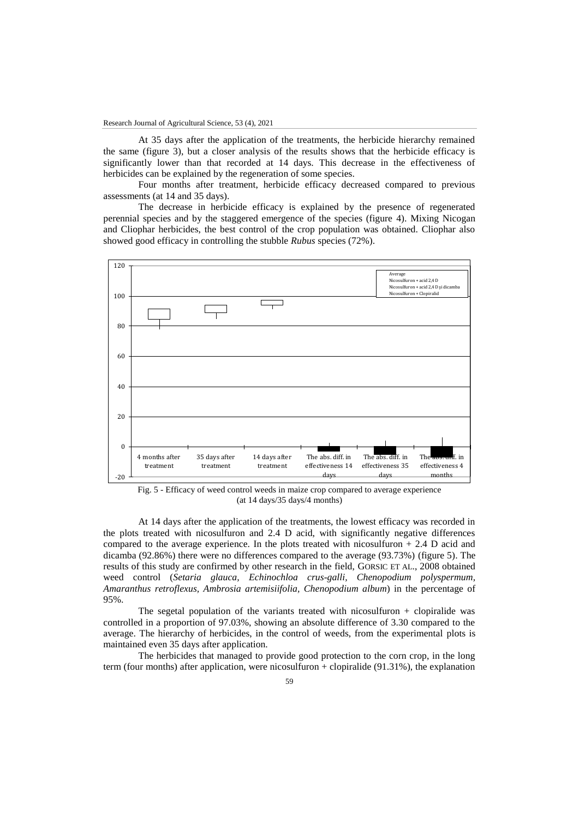At 35 days after the application of the treatments, the herbicide hierarchy remained the same (figure 3), but a closer analysis of the results shows that the herbicide efficacy is significantly lower than that recorded at 14 days. This decrease in the effectiveness of herbicides can be explained by the regeneration of some species.

Four months after treatment, herbicide efficacy decreased compared to previous assessments (at 14 and 35 days).

The decrease in herbicide efficacy is explained by the presence of regenerated perennial species and by the staggered emergence of the species (figure 4). Mixing Nicogan and Cliophar herbicides, the best control of the crop population was obtained. Cliophar also showed good efficacy in controlling the stubble *Rubus* species (72%).



Fig. 5 - Efficacy of weed control weeds in maize crop compared to average experience (at 14 days/35 days/4 months)

At 14 days after the application of the treatments, the lowest efficacy was recorded in the plots treated with nicosulfuron and 2.4 D acid, with significantly negative differences compared to the average experience. In the plots treated with nicosulfuron + 2.4 D acid and dicamba (92.86%) there were no differences compared to the average (93.73%) (figure 5). The results of this study are confirmed by other research in the field, GORSIC ET AL., 2008 obtained weed control (*Setaria glauca, Echinochloa crus-galli, Chenopodium polyspermum, Amaranthus retroflexus, Ambrosia artemisiifolia, Chenopodium album*) in the percentage of 95%.

The segetal population of the variants treated with nicosulfuron  $+$  clopiralide was controlled in a proportion of 97.03%, showing an absolute difference of 3.30 compared to the average. The hierarchy of herbicides, in the control of weeds, from the experimental plots is maintained even 35 days after application.

The herbicides that managed to provide good protection to the corn crop, in the long term (four months) after application, were nicosulfuron  $+$  clopiralide (91.31%), the explanation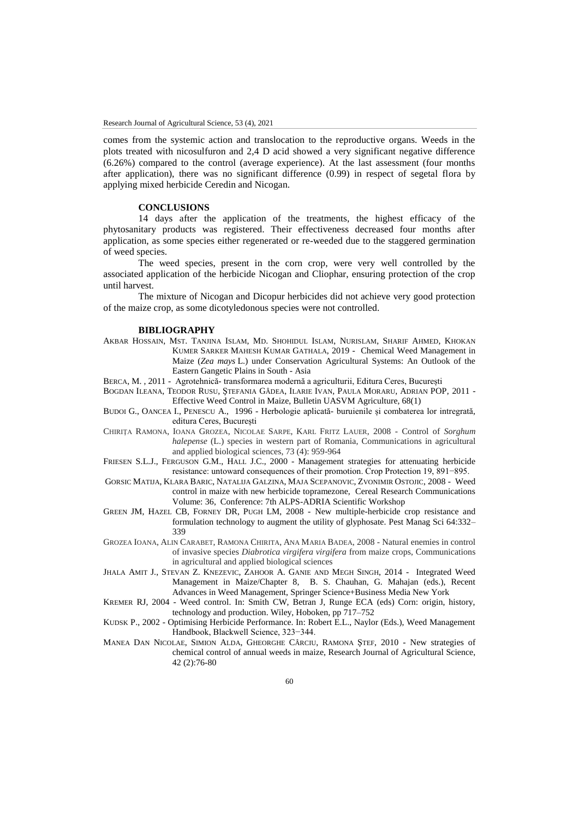comes from the systemic action and translocation to the reproductive organs. Weeds in the plots treated with nicosulfuron and 2,4 D acid showed a very significant negative difference (6.26%) compared to the control (average experience). At the last assessment (four months after application), there was no significant difference (0.99) in respect of segetal flora by applying mixed herbicide Ceredin and Nicogan.

## **CONCLUSIONS**

14 days after the application of the treatments, the highest efficacy of the phytosanitary products was registered. Their effectiveness decreased four months after application, as some species either regenerated or re-weeded due to the staggered germination of weed species.

The weed species, present in the corn crop, were very well controlled by the associated application of the herbicide Nicogan and Cliophar, ensuring protection of the crop until harvest.

The mixture of Nicogan and Dicopur herbicides did not achieve very good protection of the maize crop, as some dicotyledonous species were not controlled.

#### **BIBLIOGRAPHY**

- AKBAR HOSSAIN, MST. TANJINA ISLAM, MD. SHOHIDUL ISLAM, NURISLAM, SHARIF AHMED, KHOKAN KUMER SARKER MAHESH KUMAR GATHALA, 2019 - Chemical Weed Management in Maize (*Zea mays* L.) under Conservation Agricultural Systems: An Outlook of the Eastern Gangetic Plains in South - Asia
- BERCA, M. , 2011 Agrotehnică- transformarea modernă a agriculturii, Editura Ceres, București
- BOGDAN ILEANA, TEODOR RUSU, ŞTEFANIA GÂDEA, ILARIE IVAN, PAULA MORARU, ADRIAN POP, 2011 Effective Weed Control in Maize, Bulletin UASVM Agriculture, 68(1)
- BUDOI G., OANCEA I., PENESCU A., 1996 Herbologie aplicată- buruienile și combaterea lor intregrată, editura Ceres, București
- CHIRIŢA RAMONA, IOANA GROZEA, NICOLAE SARPE, KARL FRITZ LAUER, 2008 Control of *Sorghum halepense* (L.) species in western part of Romania, Communications in agricultural and applied biological sciences, 73 (4): 959-964
- FRIESEN S.L.J., FERGUSON G.M., HALL J.C., 2000 Management strategies for attenuating herbicide resistance: untoward consequences of their promotion. Crop Protection 19, 891−895.
- G[ORSIC](https://www.researchgate.net/scientific-contributions/Matija-Gorsic-56050931?_sg%5B0%5D=8IIRvrHvA6_9uR7jxmuO9nrLUbpbK15Jo5LMm4sFCMi7-RB8IfgpPisp-QOOVsmMqV14-mw.hL0FVLXskoeL4RMJLr27ICfRgXDH5iVKg9iu0MI8_P5sj-HTBGEePo3a3zAdFQ2t_UL4ct5nlLx64eP8LeUeWQ&_sg%5B1%5D=DjUEq_t-Mk5jaf9SZd0QAxr6qkiVjScnPiQgnXf8q5Hr0DDGLhG7dP6vSWthfIufrlLLWhY.rP6zb_crlYAzj_JAL1bw3QZXb44mtewTNrBtRyKl-rfRrmlmP5kb_W8Ja36uhQGZkkwfVLUoNFw8LuCCdp-zWw) MATIJA, K[LARA](https://www.researchgate.net/scientific-contributions/Klara-Baric-81864082?_sg%5B0%5D=8IIRvrHvA6_9uR7jxmuO9nrLUbpbK15Jo5LMm4sFCMi7-RB8IfgpPisp-QOOVsmMqV14-mw.hL0FVLXskoeL4RMJLr27ICfRgXDH5iVKg9iu0MI8_P5sj-HTBGEePo3a3zAdFQ2t_UL4ct5nlLx64eP8LeUeWQ&_sg%5B1%5D=DjUEq_t-Mk5jaf9SZd0QAxr6qkiVjScnPiQgnXf8q5Hr0DDGLhG7dP6vSWthfIufrlLLWhY.rP6zb_crlYAzj_JAL1bw3QZXb44mtewTNrBtRyKl-rfRrmlmP5kb_W8Ja36uhQGZkkwfVLUoNFw8LuCCdp-zWw) BARIC, N[ATALIJA](https://www.researchgate.net/scientific-contributions/Natalija-Galzina-2057111123?_sg%5B0%5D=8IIRvrHvA6_9uR7jxmuO9nrLUbpbK15Jo5LMm4sFCMi7-RB8IfgpPisp-QOOVsmMqV14-mw.hL0FVLXskoeL4RMJLr27ICfRgXDH5iVKg9iu0MI8_P5sj-HTBGEePo3a3zAdFQ2t_UL4ct5nlLx64eP8LeUeWQ&_sg%5B1%5D=DjUEq_t-Mk5jaf9SZd0QAxr6qkiVjScnPiQgnXf8q5Hr0DDGLhG7dP6vSWthfIufrlLLWhY.rP6zb_crlYAzj_JAL1bw3QZXb44mtewTNrBtRyKl-rfRrmlmP5kb_W8Ja36uhQGZkkwfVLUoNFw8LuCCdp-zWw) GALZINA, MAJA S[CEPANOVIC](https://www.researchgate.net/scientific-contributions/Maja-Scepanovic-55965985), Z[VONIMIR](https://www.researchgate.net/scientific-contributions/Zvonimir-Ostojic-2146686481?_sg%5B0%5D=8IIRvrHvA6_9uR7jxmuO9nrLUbpbK15Jo5LMm4sFCMi7-RB8IfgpPisp-QOOVsmMqV14-mw.hL0FVLXskoeL4RMJLr27ICfRgXDH5iVKg9iu0MI8_P5sj-HTBGEePo3a3zAdFQ2t_UL4ct5nlLx64eP8LeUeWQ&_sg%5B1%5D=DjUEq_t-Mk5jaf9SZd0QAxr6qkiVjScnPiQgnXf8q5Hr0DDGLhG7dP6vSWthfIufrlLLWhY.rP6zb_crlYAzj_JAL1bw3QZXb44mtewTNrBtRyKl-rfRrmlmP5kb_W8Ja36uhQGZkkwfVLUoNFw8LuCCdp-zWw) OSTOJIC, 2008 Weed control in maize with new herbicide topramezone, Cereal Research Communications Volume: 36, Conference: 7th ALPS-ADRIA Scientific Workshop
- GREEN JM, HAZEL CB, FORNEY DR, PUGH LM, 2008 New multiple-herbicide crop resistance and formulation technology to augment the utility of glyphosate. Pest Manag Sci 64:332– 339
- GROZEA IOANA, ALIN CARABET, RAMONA CHIRITA, ANA MARIA BADEA, 2008 Natural enemies in control of invasive species *Diabrotica virgifera virgifera* from maize crops, Communications in agricultural and applied biological sciences
- JHALA AMIT J., STEVAN Z. KNEZEVIC, ZAHOOR A. GANIE AND MEGH SINGH, 2014 Integrated Weed Management in Maize/Chapter 8, B. S. Chauhan, G. Mahajan (eds.), Recent Advances in Weed Management, Springer Science+Business Media New York
- KREMER RJ, 2004 Weed control. In: Smith CW, Betran J, Runge ECA (eds) Corn: origin, history, technology and production. Wiley, Hoboken, pp 717–752
- KUDSK P., 2002 Optimising Herbicide Performance. In: Robert E.L., Naylor (Eds.), Weed Management Handbook, Blackwell Science, 323−344.
- MANEA DAN NICOLAE, SIMION ALDA, GHEORGHE CÂRCIU, RAMONA ŞTEF, 2010 New strategies of chemical control of annual weeds in maize, Research Journal of Agricultural Science, 42 (2):76-80